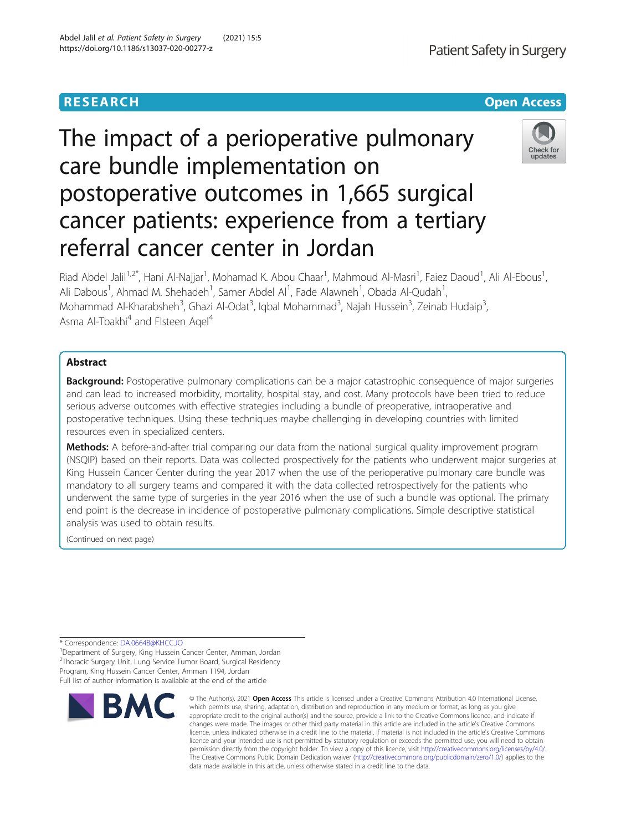# **RESEARCH CHE Open Access**

# The impact of a perioperative pulmonary care bundle implementation on postoperative outcomes in 1,665 surgical cancer patients: experience from a tertiary referral cancer center in Jordan

Riad Abdel Jalil<sup>1,2\*</sup>, Hani Al-Najjar<sup>1</sup>, Mohamad K. Abou Chaar<sup>1</sup>, Mahmoud Al-Masri<sup>1</sup>, Faiez Daoud<sup>1</sup>, Ali Al-Ebous<sup>1</sup> , Ali Dabous<sup>1</sup>, Ahmad M. Shehadeh<sup>1</sup>, Samer Abdel Al<sup>1</sup>, Fade Alawneh<sup>1</sup>, Obada Al-Qudah<sup>1</sup> , Mohammad Al-Kharabsheh<sup>3</sup>, Ghazi Al-Odat<sup>3</sup>, Iqbal Mohammad<sup>3</sup>, Najah Hussein<sup>3</sup>, Zeinab Hudaip<sup>3</sup> , Asma Al-Tbakhi<sup>4</sup> and Flsteen Aqel<sup>4</sup>

# Abstract

**Background:** Postoperative pulmonary complications can be a major catastrophic consequence of major surgeries and can lead to increased morbidity, mortality, hospital stay, and cost. Many protocols have been tried to reduce serious adverse outcomes with effective strategies including a bundle of preoperative, intraoperative and postoperative techniques. Using these techniques maybe challenging in developing countries with limited resources even in specialized centers.

Methods: A before-and-after trial comparing our data from the national surgical quality improvement program (NSQIP) based on their reports. Data was collected prospectively for the patients who underwent major surgeries at King Hussein Cancer Center during the year 2017 when the use of the perioperative pulmonary care bundle was mandatory to all surgery teams and compared it with the data collected retrospectively for the patients who underwent the same type of surgeries in the year 2016 when the use of such a bundle was optional. The primary end point is the decrease in incidence of postoperative pulmonary complications. Simple descriptive statistical analysis was used to obtain results.

(Continued on next page)

\* Correspondence: [DA.06648@KHCC.JO](mailto:DA.06648@KHCC.JO) <sup>1</sup>

<sup>1</sup>Department of Surgery, King Hussein Cancer Center, Amman, Jordan <sup>2</sup>Thoracic Surgery Unit, Lung Service Tumor Board, Surgical Residency Program, King Hussein Cancer Center, Amman 1194, Jordan Full list of author information is available at the end of the article

© The Author(s), 2021 **Open Access** This article is licensed under a Creative Commons Attribution 4.0 International License,





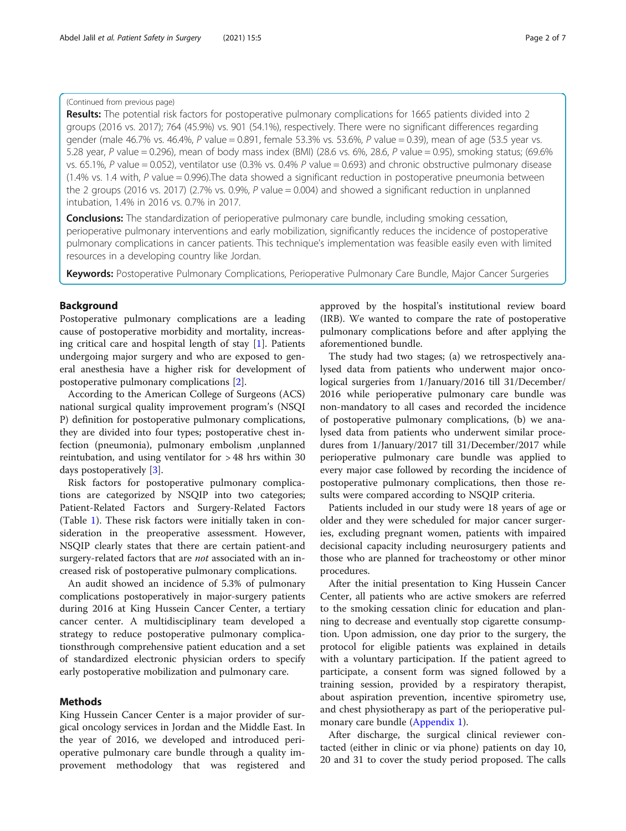# (Continued from previous page)

Results: The potential risk factors for postoperative pulmonary complications for 1665 patients divided into 2 groups (2016 vs. 2017); 764 (45.9%) vs. 901 (54.1%), respectively. There were no significant differences regarding gender (male 46.7% vs. 46.4%, P value = 0.891, female 53.3% vs. 53.6%, P value = 0.39), mean of age (53.5 year vs. 5.28 year, P value = 0.296), mean of body mass index (BMI) (28.6 vs. 6%, 28.6, P value = 0.95), smoking status; (69.6% vs. 65.1%, P value = 0.052), ventilator use (0.3% vs. 0.4% P value = 0.693) and chronic obstructive pulmonary disease (1.4% vs. 1.4 with,  $P$  value = 0.996). The data showed a significant reduction in postoperative pneumonia between the 2 groups (2016 vs. 2017) (2.7% vs. 0.9%, P value = 0.004) and showed a significant reduction in unplanned intubation, 1.4% in 2016 vs. 0.7% in 2017.

**Conclusions:** The standardization of perioperative pulmonary care bundle, including smoking cessation, perioperative pulmonary interventions and early mobilization, significantly reduces the incidence of postoperative pulmonary complications in cancer patients. This technique's implementation was feasible easily even with limited resources in a developing country like Jordan.

Keywords: Postoperative Pulmonary Complications, Perioperative Pulmonary Care Bundle, Major Cancer Surgeries

# Background

Postoperative pulmonary complications are a leading cause of postoperative morbidity and mortality, increasing critical care and hospital length of stay [\[1\]](#page-5-0). Patients undergoing major surgery and who are exposed to general anesthesia have a higher risk for development of postoperative pulmonary complications [[2](#page-6-0)].

According to the American College of Surgeons (ACS) national surgical quality improvement program's (NSQI P) definition for postoperative pulmonary complications, they are divided into four types; postoperative chest infection (pneumonia), pulmonary embolism ,unplanned reintubation, and using ventilator for > 48 hrs within 30 days postoperatively [\[3](#page-6-0)].

Risk factors for postoperative pulmonary complications are categorized by NSQIP into two categories; Patient-Related Factors and Surgery-Related Factors (Table [1](#page-2-0)). These risk factors were initially taken in consideration in the preoperative assessment. However, NSQIP clearly states that there are certain patient-and surgery-related factors that are *not* associated with an increased risk of postoperative pulmonary complications.

An audit showed an incidence of 5.3% of pulmonary complications postoperatively in major-surgery patients during 2016 at King Hussein Cancer Center, a tertiary cancer center. A multidisciplinary team developed a strategy to reduce postoperative pulmonary complicationsthrough comprehensive patient education and a set of standardized electronic physician orders to specify early postoperative mobilization and pulmonary care.

# Methods

King Hussein Cancer Center is a major provider of surgical oncology services in Jordan and the Middle East. In the year of 2016, we developed and introduced perioperative pulmonary care bundle through a quality improvement methodology that was registered and approved by the hospital's institutional review board (IRB). We wanted to compare the rate of postoperative pulmonary complications before and after applying the aforementioned bundle.

The study had two stages; (a) we retrospectively analysed data from patients who underwent major oncological surgeries from 1/January/2016 till 31/December/ 2016 while perioperative pulmonary care bundle was non-mandatory to all cases and recorded the incidence of postoperative pulmonary complications, (b) we analysed data from patients who underwent similar procedures from 1/January/2017 till 31/December/2017 while perioperative pulmonary care bundle was applied to every major case followed by recording the incidence of postoperative pulmonary complications, then those results were compared according to NSQIP criteria.

Patients included in our study were 18 years of age or older and they were scheduled for major cancer surgeries, excluding pregnant women, patients with impaired decisional capacity including neurosurgery patients and those who are planned for tracheostomy or other minor procedures.

After the initial presentation to King Hussein Cancer Center, all patients who are active smokers are referred to the smoking cessation clinic for education and planning to decrease and eventually stop cigarette consumption. Upon admission, one day prior to the surgery, the protocol for eligible patients was explained in details with a voluntary participation. If the patient agreed to participate, a consent form was signed followed by a training session, provided by a respiratory therapist, about aspiration prevention, incentive spirometry use, and chest physiotherapy as part of the perioperative pulmonary care bundle ([Appendix 1](#page-5-0)).

After discharge, the surgical clinical reviewer contacted (either in clinic or via phone) patients on day 10, 20 and 31 to cover the study period proposed. The calls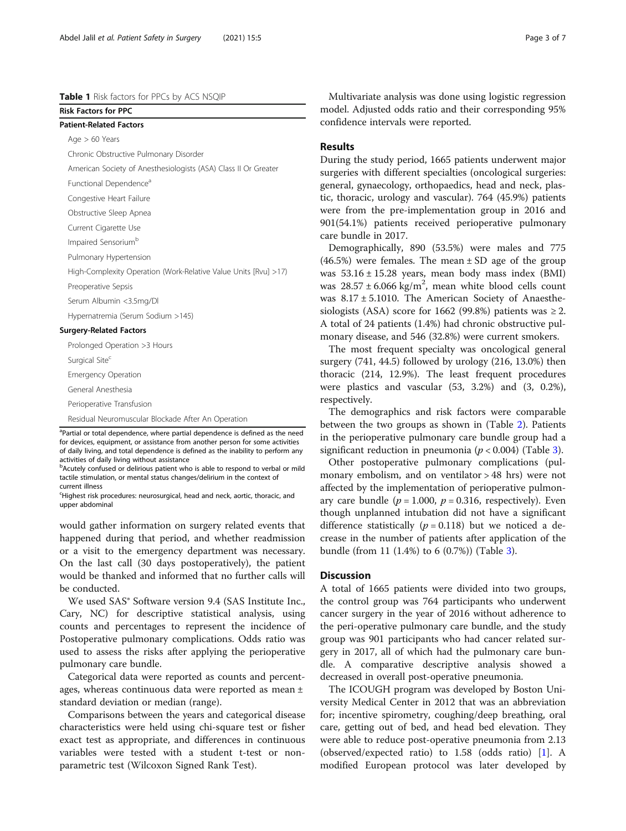# <span id="page-2-0"></span>Table 1 Risk factors for PPCs by ACS NSQIP

Risk Factors for PPC Patient-Related Factors Age > 60 Years

Chronic Obstructive Pulmonary Disorder

American Society of Anesthesiologists (ASA) Class II Or Greater

Functional Dependence<sup>a</sup>

Congestive Heart Failure

Obstructive Sleep Apnea

Current Cigarette Use

Impaired Sensorium<sup>b</sup>

Pulmonary Hypertension

High-Complexity Operation (Work-Relative Value Units [Rvu] >17)

Preoperative Sepsis

Serum Albumin <3.5mg/Dl

Hypernatremia (Serum Sodium >145)

## Surgery-Related Factors

Prolonged Operation >3 Hours

Surgical Site<sup>c</sup>

Emergency Operation

General Anesthesia

Perioperative Transfusion

Residual Neuromuscular Blockade After An Operation

<sup>a</sup>Partial or total dependence, where partial dependence is defined as the need for devices, equipment, or assistance from another person for some activities of daily living, and total dependence is defined as the inability to perform any activities of daily living without assistance

<sup>b</sup>Acutely confused or delirious patient who is able to respond to verbal or mild tactile stimulation, or mental status changes/delirium in the context of current illness

Highest risk procedures: neurosurgical, head and neck, aortic, thoracic, and upper abdominal

would gather information on surgery related events that happened during that period, and whether readmission or a visit to the emergency department was necessary. On the last call (30 days postoperatively), the patient would be thanked and informed that no further calls will be conducted.

We used SAS® Software version 9.4 (SAS Institute Inc., Cary, NC) for descriptive statistical analysis, using counts and percentages to represent the incidence of Postoperative pulmonary complications. Odds ratio was used to assess the risks after applying the perioperative pulmonary care bundle.

Categorical data were reported as counts and percentages, whereas continuous data were reported as mean ± standard deviation or median (range).

Comparisons between the years and categorical disease characteristics were held using chi-square test or fisher exact test as appropriate, and differences in continuous variables were tested with a student t-test or nonparametric test (Wilcoxon Signed Rank Test).

Multivariate analysis was done using logistic regression model. Adjusted odds ratio and their corresponding 95% confidence intervals were reported.

# Results

During the study period, 1665 patients underwent major surgeries with different specialties (oncological surgeries: general, gynaecology, orthopaedics, head and neck, plastic, thoracic, urology and vascular). 764 (45.9%) patients were from the pre-implementation group in 2016 and 901(54.1%) patients received perioperative pulmonary care bundle in 2017.

Demographically, 890 (53.5%) were males and 775  $(46.5%)$  were females. The mean  $\pm$  SD age of the group was  $53.16 \pm 15.28$  years, mean body mass index (BMI) was  $28.57 \pm 6.066$  kg/m<sup>2</sup>, mean white blood cells count was 8.17 ± 5.1010. The American Society of Anaesthesiologists (ASA) score for 1662 (99.8%) patients was  $\geq$  2. A total of 24 patients (1.4%) had chronic obstructive pulmonary disease, and 546 (32.8%) were current smokers.

The most frequent specialty was oncological general surgery (741, 44.5) followed by urology (216, 13.0%) then thoracic (214, 12.9%). The least frequent procedures were plastics and vascular (53, 3.2%) and (3, 0.2%), respectively.

The demographics and risk factors were comparable between the two groups as shown in (Table [2](#page-3-0)). Patients in the perioperative pulmonary care bundle group had a significant reduction in pneumonia ( $p < 0.004$ ) (Table [3\)](#page-4-0).

Other postoperative pulmonary complications (pulmonary embolism, and on ventilator > 48 hrs) were not affected by the implementation of perioperative pulmonary care bundle ( $p = 1.000$ ,  $p = 0.316$ , respectively). Even though unplanned intubation did not have a significant difference statistically ( $p = 0.118$ ) but we noticed a decrease in the number of patients after application of the bundle (from 11 (1.4%) to 6 (0.7%)) (Table [3\)](#page-4-0).

# **Discussion**

A total of 1665 patients were divided into two groups, the control group was 764 participants who underwent cancer surgery in the year of 2016 without adherence to the peri-operative pulmonary care bundle, and the study group was 901 participants who had cancer related surgery in 2017, all of which had the pulmonary care bundle. A comparative descriptive analysis showed a decreased in overall post-operative pneumonia.

The ICOUGH program was developed by Boston University Medical Center in 2012 that was an abbreviation for; incentive spirometry, coughing/deep breathing, oral care, getting out of bed, and head bed elevation. They were able to reduce post-operative pneumonia from 2.13 (observed/expected ratio) to 1.58 (odds ratio) [\[1](#page-5-0)]. A modified European protocol was later developed by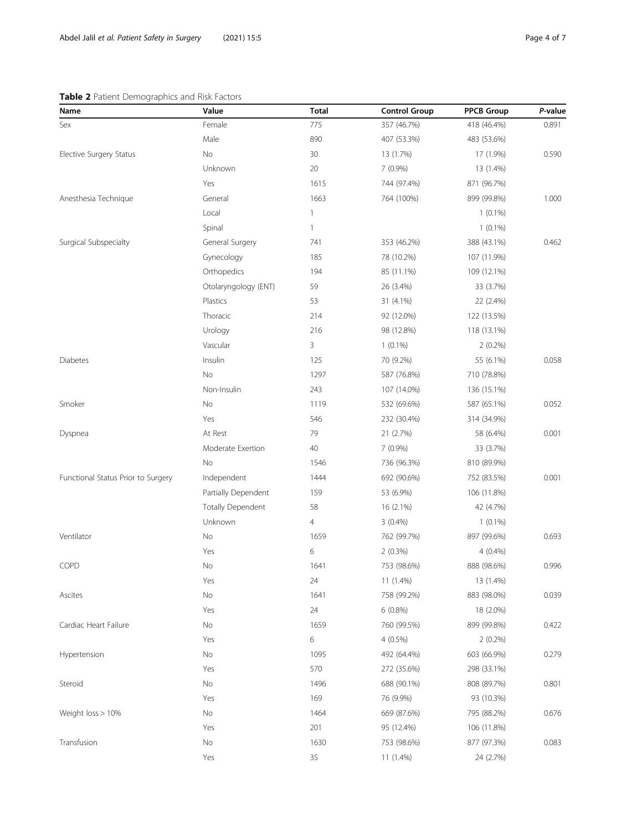# <span id="page-3-0"></span>Table 2 Patient Demographics and Risk Factors

| Name                               | Value                    | <b>Total</b>   | <b>Control Group</b> | <b>PPCB Group</b> | P-value |
|------------------------------------|--------------------------|----------------|----------------------|-------------------|---------|
| Sex                                | Female                   | 775            | 357 (46.7%)          | 418 (46.4%)       | 0.891   |
|                                    | Male                     | 890            | 407 (53.3%)          | 483 (53.6%)       |         |
| Elective Surgery Status            | No                       | 30             | 13 (1.7%)            | 17 (1.9%)         | 0.590   |
|                                    | Unknown                  | 20             | 7 (0.9%)             | 13 (1.4%)         |         |
|                                    | Yes                      | 1615           | 744 (97.4%)          | 871 (96.7%)       |         |
| Anesthesia Technique               | General                  | 1663           | 764 (100%)           | 899 (99.8%)       | 1.000   |
|                                    | Local                    | 1              |                      | $1(0.1\%)$        |         |
|                                    | Spinal                   | 1              |                      | $1(0.1\%)$        |         |
| Surgical Subspecialty              | General Surgery          | 741            | 353 (46.2%)          | 388 (43.1%)       | 0.462   |
|                                    | Gynecology               | 185            | 78 (10.2%)           | 107 (11.9%)       |         |
|                                    | Orthopedics              | 194            | 85 (11.1%)           | 109 (12.1%)       |         |
|                                    | Otolaryngology (ENT)     | 59             | 26 (3.4%)            | 33 (3.7%)         |         |
|                                    | Plastics                 | 53             | 31 (4.1%)            | 22 (2.4%)         |         |
|                                    | Thoracic                 | 214            | 92 (12.0%)           | 122 (13.5%)       |         |
|                                    | Urology                  | 216            | 98 (12.8%)           | 118 (13.1%)       |         |
|                                    | Vascular                 | 3              | $1(0.1\%)$           | $2(0.2\%)$        |         |
| <b>Diabetes</b>                    | Insulin                  | 125            | 70 (9.2%)            | 55 (6.1%)         | 0.058   |
|                                    | No                       | 1297           | 587 (76.8%)          | 710 (78.8%)       |         |
|                                    | Non-Insulin              | 243            | 107 (14.0%)          | 136 (15.1%)       |         |
| Smoker                             | No                       | 1119           | 532 (69.6%)          | 587 (65.1%)       | 0.052   |
|                                    | Yes                      | 546            | 232 (30.4%)          | 314 (34.9%)       |         |
| Dyspnea                            | At Rest                  | 79             | 21 (2.7%)            | 58 (6.4%)         | 0.001   |
|                                    | Moderate Exertion        | 40             | 7 (0.9%)             | 33 (3.7%)         |         |
|                                    | No                       | 1546           | 736 (96.3%)          | 810 (89.9%)       |         |
| Functional Status Prior to Surgery | Independent              | 1444           | 692 (90.6%)          | 752 (83.5%)       | 0.001   |
|                                    | Partially Dependent      | 159            | 53 (6.9%)            | 106 (11.8%)       |         |
|                                    | <b>Totally Dependent</b> | 58             | 16 (2.1%)            | 42 (4.7%)         |         |
|                                    | Unknown                  | $\overline{4}$ | $3(0.4\%)$           | $1(0.1\%)$        |         |
| Ventilator                         | No                       | 1659           | 762 (99.7%)          | 897 (99.6%)       | 0.693   |
|                                    | Yes                      | 6              | 2(0.3%)              | 4(0.4%)           |         |
| COPD                               | No                       | 1641           | 753 (98.6%)          | 888 (98.6%)       | 0.996   |
|                                    | Yes                      | 24             | 11 (1.4%)            | 13 (1.4%)         |         |
| Ascites                            | No                       | 1641           | 758 (99.2%)          | 883 (98.0%)       | 0.039   |
|                                    | Yes                      | 24             | $6(0.8\%)$           | 18 (2.0%)         |         |
| Cardiac Heart Failure              | No                       | 1659           | 760 (99.5%)          | 899 (99.8%)       | 0.422   |
|                                    | Yes                      | 6              | $4(0.5\%)$           | $2(0.2\%)$        |         |
| Hypertension                       | No                       | 1095           | 492 (64.4%)          | 603 (66.9%)       | 0.279   |
|                                    | Yes                      | 570            | 272 (35.6%)          | 298 (33.1%)       |         |
| Steroid                            | No                       | 1496           | 688 (90.1%)          | 808 (89.7%)       | 0.801   |
|                                    | Yes                      | 169            | 76 (9.9%)            | 93 (10.3%)        |         |
| Weight loss > 10%                  | No                       | 1464           | 669 (87.6%)          | 795 (88.2%)       | 0.676   |
|                                    | Yes                      | 201            | 95 (12.4%)           | 106 (11.8%)       |         |
| Transfusion                        | $\rm No$                 | 1630           | 753 (98.6%)          | 877 (97.3%)       | 0.083   |
|                                    | Yes                      | 35             | 11 (1.4%)            | 24 (2.7%)         |         |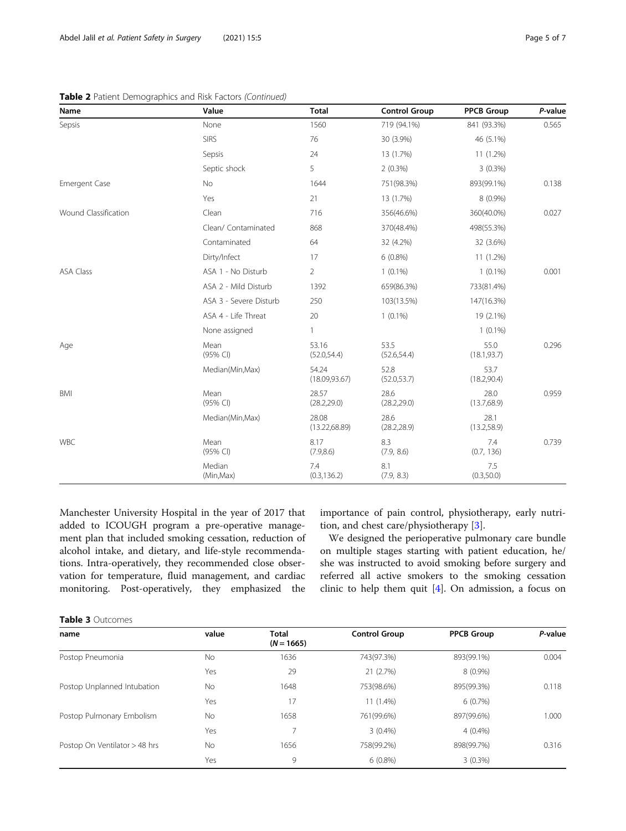## <span id="page-4-0"></span>Table 2 Patient Demographics and Risk Factors (Continued)

| Name                 | Value                  | <b>Total</b>            | <b>Control Group</b> | <b>PPCB Group</b>    | P-value |
|----------------------|------------------------|-------------------------|----------------------|----------------------|---------|
| Sepsis               | None                   | 1560                    | 719 (94.1%)          | 841 (93.3%)          | 0.565   |
|                      | <b>SIRS</b>            | 76                      | 30 (3.9%)            | 46 (5.1%)            |         |
|                      | Sepsis                 | 24                      | 13 (1.7%)            | 11 (1.2%)            |         |
|                      | Septic shock           | 5                       | $2(0.3\%)$           | $3(0.3\%)$           |         |
| <b>Emergent Case</b> | No                     | 1644                    | 751(98.3%)           | 893(99.1%)           | 0.138   |
|                      | Yes                    | 21                      | 13 (1.7%)            | 8 (0.9%)             |         |
| Wound Classification | Clean                  | 716                     | 356(46.6%)           | 360(40.0%)           | 0.027   |
|                      | Clean/ Contaminated    | 868                     | 370(48.4%)           | 498(55.3%)           |         |
|                      | Contaminated           | 64                      | 32 (4.2%)            | 32 (3.6%)            |         |
|                      | Dirty/Infect           | 17                      | $6(0.8\%)$           | 11 (1.2%)            |         |
| <b>ASA Class</b>     | ASA 1 - No Disturb     | $\overline{2}$          | $1(0.1\%)$           | $1(0.1\%)$           | 0.001   |
|                      | ASA 2 - Mild Disturb   | 1392                    | 659(86.3%)           | 733(81.4%)           |         |
|                      | ASA 3 - Severe Disturb | 250                     | 103(13.5%)           | 147(16.3%)           |         |
|                      | ASA 4 - Life Threat    | 20                      | $1(0.1\%)$           | 19 (2.1%)            |         |
|                      | None assigned          | 1                       |                      | $1(0.1\%)$           |         |
| Age                  | Mean<br>(95% CI)       | 53.16<br>(52.0, 54.4)   | 53.5<br>(52.6, 54.4) | 55.0<br>(18.1, 93.7) | 0.296   |
|                      | Median(Min, Max)       | 54.24<br>(18.09, 93.67) | 52.8<br>(52.0, 53.7) | 53.7<br>(18.2, 90.4) |         |
| <b>BMI</b>           | Mean<br>(95% CI)       | 28.57<br>(28.2, 29.0)   | 28.6<br>(28.2, 29.0) | 28.0<br>(13.7, 68.9) | 0.959   |
|                      | Median(Min, Max)       | 28.08<br>(13.22, 68.89) | 28.6<br>(28.2, 28.9) | 28.1<br>(13.2, 58.9) |         |
| <b>WBC</b>           | Mean<br>(95% CI)       | 8.17<br>(7.9, 8.6)      | 8.3<br>(7.9, 8.6)    | 7.4<br>(0.7, 136)    | 0.739   |
|                      | Median<br>(Min, Max)   | 7.4<br>(0.3, 136.2)     | 8.1<br>(7.9, 8.3)    | 7.5<br>(0.3, 50.0)   |         |

Manchester University Hospital in the year of 2017 that added to ICOUGH program a pre-operative management plan that included smoking cessation, reduction of alcohol intake, and dietary, and life-style recommendations. Intra-operatively, they recommended close observation for temperature, fluid management, and cardiac monitoring. Post-operatively, they emphasized the

importance of pain control, physiotherapy, early nutrition, and chest care/physiotherapy [[3](#page-6-0)].

We designed the perioperative pulmonary care bundle on multiple stages starting with patient education, he/ she was instructed to avoid smoking before surgery and referred all active smokers to the smoking cessation clinic to help them quit [\[4](#page-6-0)]. On admission, a focus on

| name                          | value     | <b>Total</b><br>$(N = 1665)$ | <b>Control Group</b> | <b>PPCB Group</b> | P-value |
|-------------------------------|-----------|------------------------------|----------------------|-------------------|---------|
| Postop Pneumonia              | No.       | 1636                         | 743(97.3%)           | 893(99.1%)        | 0.004   |
|                               | Yes       | 29                           | 21 (2.7%)            | $8(0.9\%)$        |         |
| Postop Unplanned Intubation   | No        | 1648                         | 753(98.6%)           | 895(99.3%)        | 0.118   |
|                               | Yes       | 17                           | 11 (1.4%)            | $6(0.7\%)$        |         |
| Postop Pulmonary Embolism     | No.       | 1658                         | 761(99.6%)           | 897(99.6%)        | 1.000   |
|                               | Yes       | 7                            | $3(0.4\%)$           | $4(0.4\%)$        |         |
| Postop On Ventilator > 48 hrs | <b>No</b> | 1656                         | 758(99.2%)           | 898(99.7%)        | 0.316   |
|                               | Yes       | 9                            | $6(0.8\%)$           | $3(0.3\%)$        |         |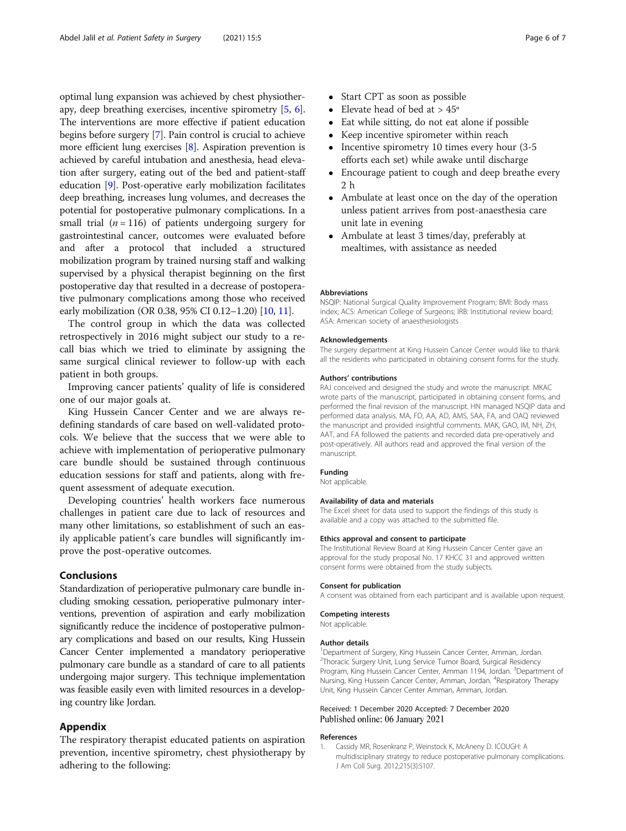<span id="page-5-0"></span>optimal lung expansion was achieved by chest physiotherapy, deep breathing exercises, incentive spirometry [\[5,](#page-6-0) [6](#page-6-0)]. The interventions are more effective if patient education begins before surgery [[7\]](#page-6-0). Pain control is crucial to achieve more efficient lung exercises [\[8](#page-6-0)]. Aspiration prevention is achieved by careful intubation and anesthesia, head elevation after surgery, eating out of the bed and patient-staff education [[9](#page-6-0)]. Post-operative early mobilization facilitates deep breathing, increases lung volumes, and decreases the potential for postoperative pulmonary complications. In a small trial ( $n = 116$ ) of patients undergoing surgery for gastrointestinal cancer, outcomes were evaluated before and after a protocol that included a structured mobilization program by trained nursing staff and walking supervised by a physical therapist beginning on the first postoperative day that resulted in a decrease of postoperative pulmonary complications among those who received early mobilization (OR 0.38, 95% CI 0.12–1.20) [\[10](#page-6-0), [11](#page-6-0)].

The control group in which the data was collected retrospectively in 2016 might subject our study to a recall bias which we tried to eliminate by assigning the same surgical clinical reviewer to follow-up with each patient in both groups.

Improving cancer patients' quality of life is considered one of our major goals at.

King Hussein Cancer Center and we are always redefining standards of care based on well-validated protocols. We believe that the success that we were able to achieve with implementation of perioperative pulmonary care bundle should be sustained through continuous education sessions for staff and patients, along with frequent assessment of adequate execution.

Developing countries' health workers face numerous challenges in patient care due to lack of resources and many other limitations, so establishment of such an easily applicable patient's care bundles will significantly improve the post-operative outcomes.

# Conclusions

Standardization of perioperative pulmonary care bundle including smoking cessation, perioperative pulmonary interventions, prevention of aspiration and early mobilization significantly reduce the incidence of postoperative pulmonary complications and based on our results, King Hussein Cancer Center implemented a mandatory perioperative pulmonary care bundle as a standard of care to all patients undergoing major surgery. This technique implementation was feasible easily even with limited resources in a developing country like Jordan.

# Appendix

The respiratory therapist educated patients on aspiration prevention, incentive spirometry, chest physiotherapy by adhering to the following:

- Start CPT as soon as possible
- Elevate head of bed at > 45º
- Eat while sitting, do not eat alone if possible
- Keep incentive spirometer within reach
- Incentive spirometry 10 times every hour (3-5 efforts each set) while awake until discharge
- Encourage patient to cough and deep breathe every 2 h
- Ambulate at least once on the day of the operation unless patient arrives from post-anaesthesia care unit late in evening
- Ambulate at least 3 times/day, preferably at mealtimes, with assistance as needed

#### Abbreviations

NSQIP: National Surgical Quality Improvement Program; BMI: Body mass index; ACS: American College of Surgeons; IRB: Institutional review board; ASA: American society of anaesthesiologists

#### Acknowledgements

The surgery department at King Hussein Cancer Center would like to thank all the residents who participated in obtaining consent forms for the study.

#### Authors' contributions

RAJ conceived and designed the study and wrote the manuscript. MKAC wrote parts of the manuscript, participated in obtaining consent forms, and performed the final revision of the manuscript. HN managed NSQIP data and performed data analysis. MA, FD, AA, AD, AMS, SAA, FA, and OAQ reviewed the manuscript and provided insightful comments. MAK, GAO, IM, NH, ZH, AAT, and FA followed the patients and recorded data pre-operatively and post-operatively. All authors read and approved the final version of the manuscript.

#### Funding

Not applicable.

#### Availability of data and materials

The Excel sheet for data used to support the findings of this study is available and a copy was attached to the submitted file.

#### Ethics approval and consent to participate

The Institutional Review Board at King Hussein Cancer Center gave an approval for the study proposal No. 17 KHCC 31 and approved written consent forms were obtained from the study subjects.

#### Consent for publication

A consent was obtained from each participant and is available upon request.

#### Competing interests

Not applicable.

#### Author details

<sup>1</sup>Department of Surgery, King Hussein Cancer Center, Amman, Jordan <sup>2</sup>Thoracic Surgery Unit, Lung Service Tumor Board, Surgical Residency Program, King Hussein Cancer Center, Amman 1194, Jordan. <sup>3</sup>Department of Nursing, King Hussein Cancer Center, Amman, Jordan. <sup>4</sup>Respiratory Therapy Unit, King Hussein Cancer Center Amman, Amman, Jordan.

### Received: 1 December 2020 Accepted: 7 December 2020 Published online: 06 January 2021

#### References

1. Cassidy MR, Rosenkranz P, Weinstock K, McAneny D. ICOUGH: A multidisciplinary strategy to reduce postoperative pulmonary complications. J Am Coll Surg. 2012;215(3):S107.